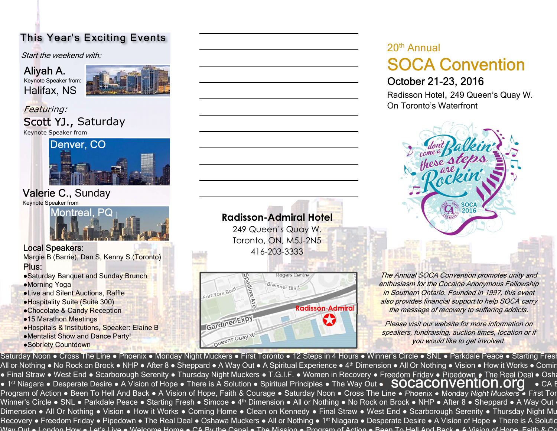Start the weekend with:

Aliyah A. Keynote Speaker from: Halifax, NS



#### Featuring: Scott YJ., Saturday Keynote Speaker from



### Valerie C., Sunday

Keynote Speaker from

Montreal, PQ

### Local Speakers:

Margie B (Barrie), Dan S, Kenny S.(Toronto) Plus:

- ●Saturday Banquet and Sunday Brunch
- ●Morning Yoga
- ●Live and Silent Auctions, Raffle
- ●Hospitality Suite (Suite 300)
- ●Chocolate & Candy Reception
- ●15 Marathon Meetings
- ●Hospitals & Institutions, Speaker: Elaine B
- ●Mentalist Show and Dance Party!
- ●Sobriety Countdown

## **Radisson-Admiral Hotel**<br>249 Queen's Quay W. Toronto, ON, M5J-2N5 416-203-3333



# 20th Annual<br>**SOCA Convention** October 21-23, 2016 This Year's Exciting Events<br>
Start the weekend with:<br>
Aliyah A.<br>
Halifax, NS<br>
The Exterior:<br>
Featuring:<br>
Con Toronto's Waterfront<br>
Con Toronto's Waterfront<br>
Con Toronto's Waterfront<br>
Con Toronto's Waterfront

Radisson Hotel, 249 Queen's Quay W.



The Annual SOCA Convention promotes unity and enthusiasm for the Cocaine Anonymous Fellowship in Southern Ontario. Founded in 1997, this event also provides financial support to help SOCA carry the message of recovery to suffering addicts.

**CONTRESS (Please visit our website for more information on** speakers, fundraising, auction times, location or if you would like to get involved.

Saturday Noon • Cross The Line • Phoenix • Monday Night Muckers • First Toronto • 12 Steps in 4 Hours • Winner's Circle • SNL • Parkdale Peace • Starting Fresl All or Nothing • No Rock on Brock • NHP • After 8 • Sheppard • A Way Out • A Spiritual Experience • 4<sup>th</sup> Dimension • All Or Nothing • Vision • How it Works • Comir • Final Straw • West End • Scarborough Serenity • Thursday Night Muckers • T.G.I.F. • Women in Recovery • Freedom Fridav • Pipedown • The Real Deal • Osha ● 1 indi Straw ● West End ● Scanbologyn Seremty ● Thursday Night Muckers ● T.G.m. ● Women in Necovery ● Heedom Hidav ● His Nouwill Finishear Deal ● Osha<br>● 1st Niagara ● Desperate Desire ● A Vision of Hope ● There is A Sol Program of Action • Been To Hell And Back • A Vision of Hope, Faith & Courage • Saturday Noon • Cross The Line • Phoenix • Monday Night Muckers • First Tor Winner's Circle • SNL • Parkdale Peace • Starting Fresh • Simcoe • 4<sup>th</sup> Dimension • All or Nothing • No Rock on Brock • NHP • After 8 • Sheppard • A Way Out  $\cdot$ Dimension • All Or Nothing • Vision • How it Works • Coming Home • Clean on Kennedy • Final Straw • West End • Scarborough Serenity • Thursday Night Mu Recovery • Freedom Friday • Pipedown • The Real Deal • Oshawa Muckers • All or Nothing • 1<sup>st</sup> Niagara • Desperate Desire • A Vision of Hope • There is A Solutic Way Out • London How • Lot's Live • Welcome Home • CA By the Canal • The Mission • Program of Action • Been To Hell And Back • A Vision of Hope, Faith & Co